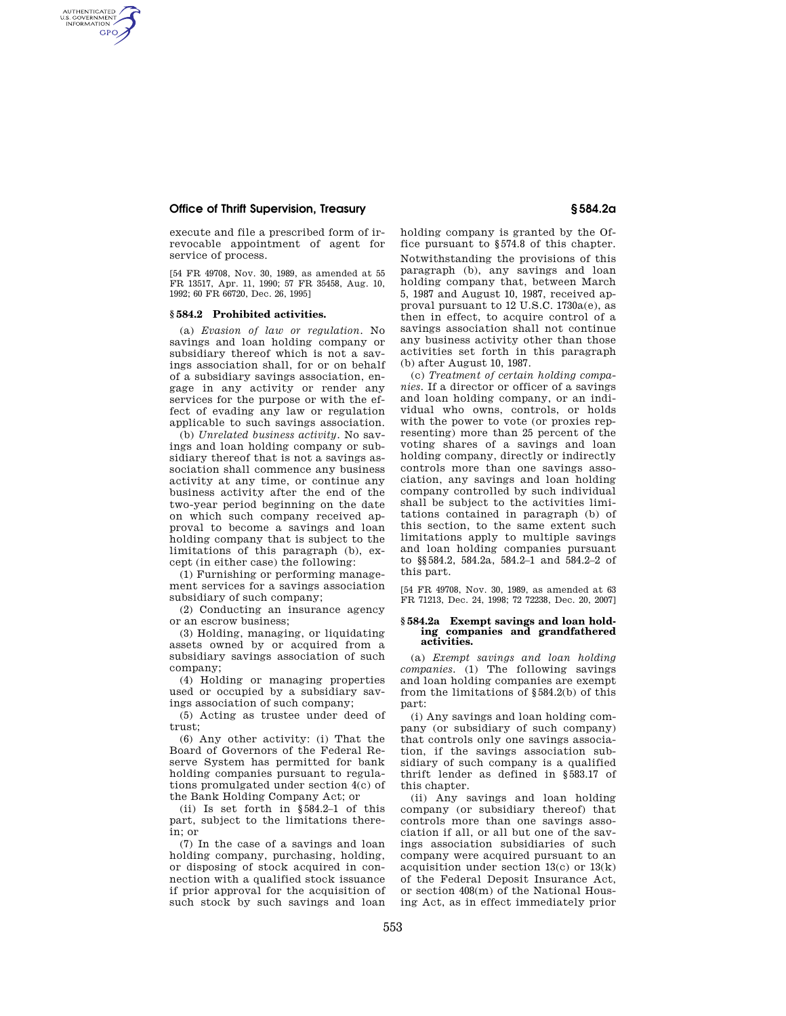## **Office of Thrift Supervision, Treasury § 584.2a**

execute and file a prescribed form of irrevocable appointment of agent for service of process.

[54 FR 49708, Nov. 30, 1989, as amended at 55 FR 13517, Apr. 11, 1990; 57 FR 35458, Aug. 10, 1992; 60 FR 66720, Dec. 26, 1995]

### **§ 584.2 Prohibited activities.**

AUTHENTICATED<br>U.S. GOVERNMENT<br>INFORMATION **GPO** 

> (a) *Evasion of law or regulation.* No savings and loan holding company or subsidiary thereof which is not a savings association shall, for or on behalf of a subsidiary savings association, engage in any activity or render any services for the purpose or with the effect of evading any law or regulation applicable to such savings association.

> (b) *Unrelated business activity.* No savings and loan holding company or subsidiary thereof that is not a savings association shall commence any business activity at any time, or continue any business activity after the end of the two-year period beginning on the date on which such company received approval to become a savings and loan holding company that is subject to the limitations of this paragraph (b), except (in either case) the following:

> (1) Furnishing or performing management services for a savings association subsidiary of such company;

> (2) Conducting an insurance agency or an escrow business;

(3) Holding, managing, or liquidating assets owned by or acquired from a subsidiary savings association of such company;

(4) Holding or managing properties used or occupied by a subsidiary savings association of such company;

(5) Acting as trustee under deed of trust;

(6) Any other activity: (i) That the Board of Governors of the Federal Reserve System has permitted for bank holding companies pursuant to regulations promulgated under section 4(c) of the Bank Holding Company Act; or

(ii) Is set forth in §584.2–1 of this part, subject to the limitations therein; or

(7) In the case of a savings and loan holding company, purchasing, holding, or disposing of stock acquired in connection with a qualified stock issuance if prior approval for the acquisition of such stock by such savings and loan

holding company is granted by the Office pursuant to §574.8 of this chapter. Notwithstanding the provisions of this paragraph (b), any savings and loan holding company that, between March 5, 1987 and August 10, 1987, received approval pursuant to 12 U.S.C. 1730a(e), as then in effect, to acquire control of a savings association shall not continue any business activity other than those activities set forth in this paragraph (b) after August 10, 1987.

(c) *Treatment of certain holding companies.* If a director or officer of a savings and loan holding company, or an individual who owns, controls, or holds with the power to vote (or proxies representing) more than 25 percent of the voting shares of a savings and loan holding company, directly or indirectly controls more than one savings association, any savings and loan holding company controlled by such individual shall be subject to the activities limitations contained in paragraph (b) of this section, to the same extent such limitations apply to multiple savings and loan holding companies pursuant to §§584.2, 584.2a, 584.2–1 and 584.2–2 of this part.

[54 FR 49708, Nov. 30, 1989, as amended at 63 FR 71213, Dec. 24, 1998; 72 72238, Dec. 20, 2007]

### **§ 584.2a Exempt savings and loan holding companies and grandfathered activities.**

(a) *Exempt savings and loan holding companies.* (1) The following savings and loan holding companies are exempt from the limitations of §584.2(b) of this part:

(i) Any savings and loan holding company (or subsidiary of such company) that controls only one savings association, if the savings association subsidiary of such company is a qualified thrift lender as defined in §583.17 of this chapter.

(ii) Any savings and loan holding company (or subsidiary thereof) that controls more than one savings association if all, or all but one of the savings association subsidiaries of such company were acquired pursuant to an acquisition under section 13(c) or 13(k) of the Federal Deposit Insurance Act, or section 408(m) of the National Housing Act, as in effect immediately prior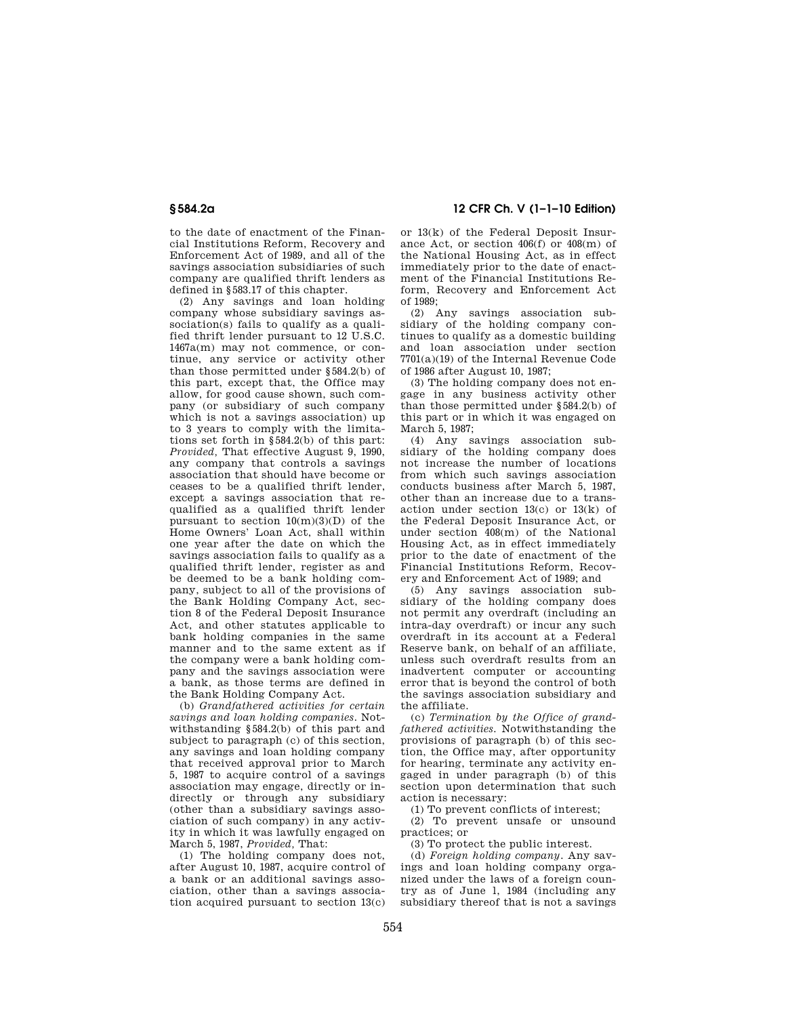to the date of enactment of the Financial Institutions Reform, Recovery and Enforcement Act of 1989, and all of the savings association subsidiaries of such company are qualified thrift lenders as defined in §583.17 of this chapter.

(2) Any savings and loan holding company whose subsidiary savings association(s) fails to qualify as a qualified thrift lender pursuant to 12 U.S.C. 1467a(m) may not commence, or continue, any service or activity other than those permitted under §584.2(b) of this part, except that, the Office may allow, for good cause shown, such company (or subsidiary of such company which is not a savings association) up to 3 years to comply with the limitations set forth in §584.2(b) of this part: *Provided,* That effective August 9, 1990, any company that controls a savings association that should have become or ceases to be a qualified thrift lender, except a savings association that requalified as a qualified thrift lender pursuant to section  $10(m)(3)(D)$  of the Home Owners' Loan Act, shall within one year after the date on which the savings association fails to qualify as a qualified thrift lender, register as and be deemed to be a bank holding company, subject to all of the provisions of the Bank Holding Company Act, section 8 of the Federal Deposit Insurance Act, and other statutes applicable to bank holding companies in the same manner and to the same extent as if the company were a bank holding company and the savings association were a bank, as those terms are defined in the Bank Holding Company Act.

(b) *Grandfathered activities for certain savings and loan holding companies.* Notwithstanding §584.2(b) of this part and subject to paragraph (c) of this section, any savings and loan holding company that received approval prior to March 5, 1987 to acquire control of a savings association may engage, directly or indirectly or through any subsidiary (other than a subsidiary savings association of such company) in any activity in which it was lawfully engaged on March 5, 1987, *Provided,* That:

(1) The holding company does not, after August 10, 1987, acquire control of a bank or an additional savings association, other than a savings association acquired pursuant to section 13(c)

# **§ 584.2a 12 CFR Ch. V (1–1–10 Edition)**

or 13(k) of the Federal Deposit Insurance Act, or section 406(f) or 408(m) of the National Housing Act, as in effect immediately prior to the date of enactment of the Financial Institutions Reform, Recovery and Enforcement Act of 1989;

(2) Any savings association subsidiary of the holding company continues to qualify as a domestic building and loan association under section 7701(a)(19) of the Internal Revenue Code of 1986 after August 10, 1987;

(3) The holding company does not engage in any business activity other than those permitted under §584.2(b) of this part or in which it was engaged on March 5, 1987;

(4) Any savings association subsidiary of the holding company does not increase the number of locations from which such savings association conducts business after March 5, 1987, other than an increase due to a transaction under section 13(c) or 13(k) of the Federal Deposit Insurance Act, or under section 408(m) of the National Housing Act, as in effect immediately prior to the date of enactment of the Financial Institutions Reform, Recovery and Enforcement Act of 1989; and

(5) Any savings association subsidiary of the holding company does not permit any overdraft (including an intra-day overdraft) or incur any such overdraft in its account at a Federal Reserve bank, on behalf of an affiliate, unless such overdraft results from an inadvertent computer or accounting error that is beyond the control of both the savings association subsidiary and the affiliate.

(c) *Termination by the Office of grandfathered activities.* Notwithstanding the provisions of paragraph (b) of this section, the Office may, after opportunity for hearing, terminate any activity engaged in under paragraph (b) of this section upon determination that such action is necessary:

(1) To prevent conflicts of interest;

(2) To prevent unsafe or unsound practices; or

(3) To protect the public interest.

(d) *Foreign holding company.* Any savings and loan holding company organized under the laws of a foreign country as of June l, 1984 (including any subsidiary thereof that is not a savings